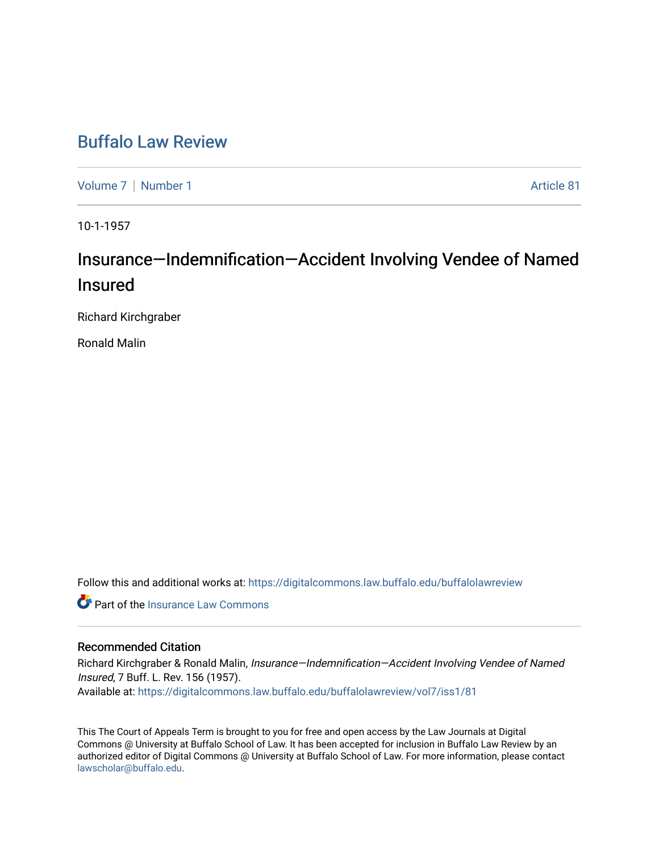## [Buffalo Law Review](https://digitalcommons.law.buffalo.edu/buffalolawreview)

[Volume 7](https://digitalcommons.law.buffalo.edu/buffalolawreview/vol7) | [Number 1](https://digitalcommons.law.buffalo.edu/buffalolawreview/vol7/iss1) Article 81

10-1-1957

# Insurance—Indemnification—Accident Involving Vendee of Named Insured

Richard Kirchgraber

Ronald Malin

Follow this and additional works at: [https://digitalcommons.law.buffalo.edu/buffalolawreview](https://digitalcommons.law.buffalo.edu/buffalolawreview?utm_source=digitalcommons.law.buffalo.edu%2Fbuffalolawreview%2Fvol7%2Fiss1%2F81&utm_medium=PDF&utm_campaign=PDFCoverPages) 

**C** Part of the [Insurance Law Commons](http://network.bepress.com/hgg/discipline/607?utm_source=digitalcommons.law.buffalo.edu%2Fbuffalolawreview%2Fvol7%2Fiss1%2F81&utm_medium=PDF&utm_campaign=PDFCoverPages)

### Recommended Citation

Richard Kirchgraber & Ronald Malin, Insurance—Indemnification—Accident Involving Vendee of Named Insured, 7 Buff. L. Rev. 156 (1957). Available at: [https://digitalcommons.law.buffalo.edu/buffalolawreview/vol7/iss1/81](https://digitalcommons.law.buffalo.edu/buffalolawreview/vol7/iss1/81?utm_source=digitalcommons.law.buffalo.edu%2Fbuffalolawreview%2Fvol7%2Fiss1%2F81&utm_medium=PDF&utm_campaign=PDFCoverPages) 

This The Court of Appeals Term is brought to you for free and open access by the Law Journals at Digital Commons @ University at Buffalo School of Law. It has been accepted for inclusion in Buffalo Law Review by an authorized editor of Digital Commons @ University at Buffalo School of Law. For more information, please contact [lawscholar@buffalo.edu](mailto:lawscholar@buffalo.edu).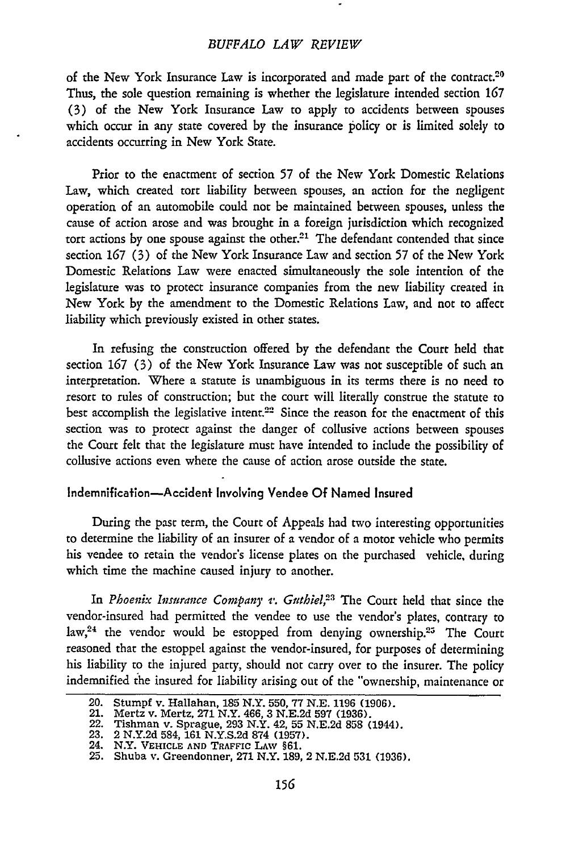#### *BUFFALO LAW REVIEW*

of the New York Insurance Law is incorporated and made part of the contract.<sup>20</sup> Thus, the sole question remaining is whether the legislature intended section **167** (3) of the New York Insurance Law to apply to accidents between spouses which occur in any state covered by the insurance policy or is limited solely to accidents occurring in New York State.

Prior to the enactment of section **57** of the New York Domestic Relations Law, which created tort liability between spouses, an action for the negligent operation of an automobile could not be maintained between spouses, unless the cause of action arose and was brought in a foreign jurisdiction which recognized tort actions by one spouse against the other.<sup>21</sup> The defendant contended that since section **167** (3) of the New York Insurance Law and section 57 of the New York Domestic Relations Law were enacted simultaneously the sole intention of the legislature was to protect insurance companies from the new liability created in New York by the amendment to the Domestic Relations Law, and not to affect liability which previously existed in other states.

In refusing the construction offered by the defendant the Court held that section **167** (3) of the New York Insurance Law was not susceptible of such an interpretation. Where a statute is unambiguous in its terms there is no need to resort to rules of construction; but the court will literally construe the statute to best accomplish the legislative intent.<sup>22</sup> Since the reason for the enactment of this section was to protect against the danger of collusive actions between spouses the Court felt that the legislature must have intended to include the possibility of collusive actions even where the cause of action arose outside the state.

#### Indemnification-Accident Involving Vendee **Of** Named Insured

During the past term, the Court of Appeals had two interesting opportunities to determine the liability of an insurer of a vendor of a motor vehicle who permits his vendee to retain the vendor's license plates on the purchased vehicle, during which time the machine caused injury to another.

In *Phoenix Insurance Company v. Guthiel*,<sup>23</sup> The Court held that since the vendor-insured had permitted the vendee to use the vendor's plates, contrary to law,<sup>24</sup> the vendor would be estopped from denying ownership.<sup>25</sup> The Court reasoned that the estoppel against the vendor-insured, for purposes of determining his liability to the injured party, should not carry over to the insurer. The policy indemnified the insured for liability arising out of the "ownership, maintenance or

<sup>20.</sup> Stumpf v. Hallahan, 185 N.Y. 550, 77 N.E. 1196 (1906).

<sup>21.</sup> Mertz v. Mertz, **271** N.Y. 466, 3 N.E.2d 597 (1936).

<sup>22.</sup> Tishman v. Sprague, 293 N.Y. 42, 55 N.E.2d 858 (1944).

**<sup>23.</sup>** 2 N.Y.2d 584, 161 N.Y.S.2d 874 (1957). 24. N.Y. **VEHICLE AND** TRAFFIC **LAw** §61. **25.** Shuba v. Greendonner, 271 N.Y. 189, 2 N.E.2d 531 (1936).